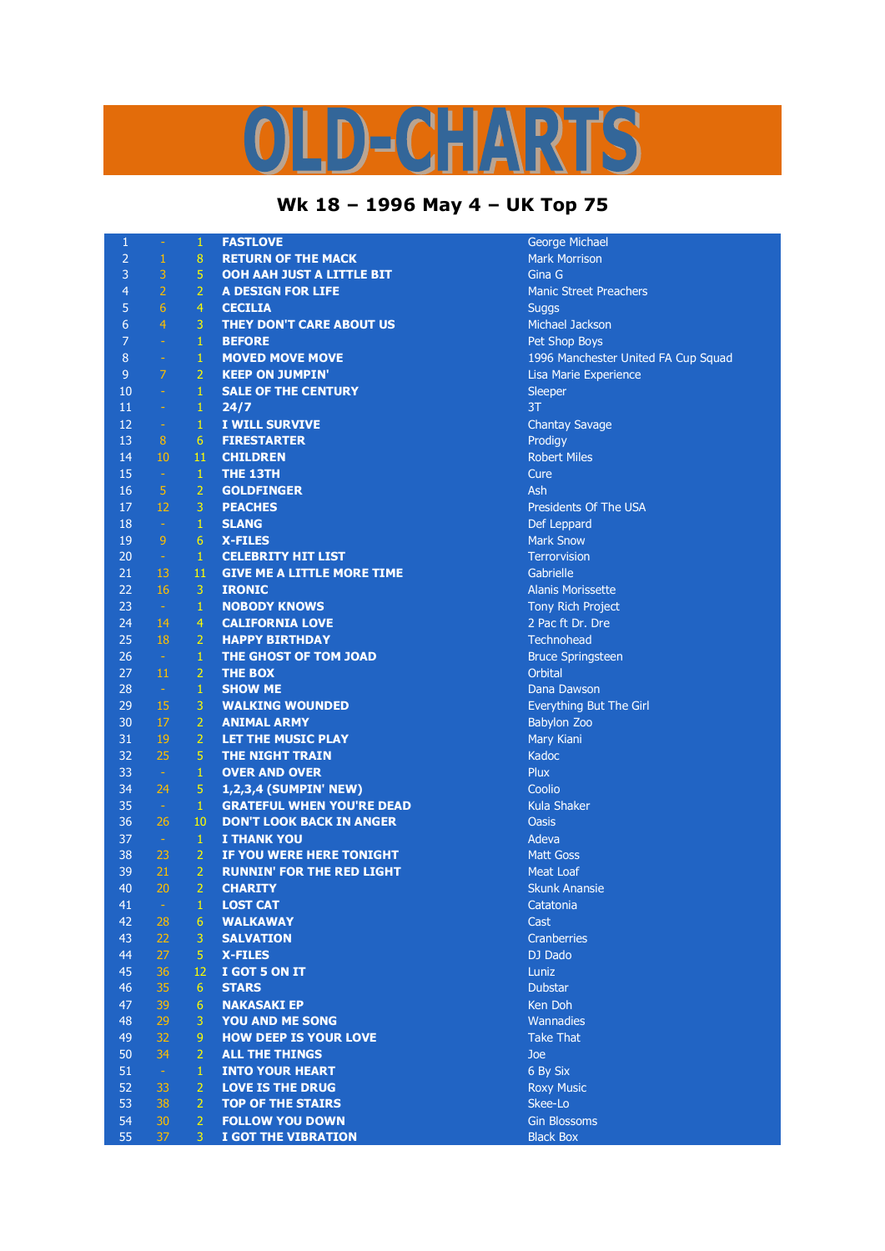## D-CHARTS ų

## **Wk 18 – 1996 May 4 – UK Top 75**

| $\mathbf{1}$    | $\pm$          | $\mathbf{1}$     | <b>FASTLOVE</b>                   | George Michael                      |
|-----------------|----------------|------------------|-----------------------------------|-------------------------------------|
| $\overline{2}$  | $\,1\,$        | $\boldsymbol{8}$ | <b>RETURN OF THE MACK</b>         | <b>Mark Morrison</b>                |
| 3               | 3              | $\overline{5}$   | OOH AAH JUST A LITTLE BIT         | Gina G                              |
| $\overline{4}$  | $\overline{2}$ | $\overline{2}$   | <b>A DESIGN FOR LIFE</b>          | <b>Manic Street Preachers</b>       |
| 5               | $6\phantom{1}$ | $\overline{4}$   | <b>CECILIA</b>                    | <b>Suggs</b>                        |
| $6\overline{6}$ | $\overline{4}$ | 3                | <b>THEY DON'T CARE ABOUT US</b>   | <b>Michael Jackson</b>              |
| $\overline{7}$  | $\omega$       | $\mathbf{1}$     | <b>BEFORE</b>                     | Pet Shop Boys                       |
| $\bf 8$         | $\omega$       | $\mathbf 1$      | <b>MOVED MOVE MOVE</b>            | 1996 Manchester United FA Cup Squad |
| 9               | $\overline{7}$ | $\overline{2}$   | <b>KEEP ON JUMPIN'</b>            | Lisa Marie Experience               |
| 10              | $\omega$       | $\mathbf{1}$     | <b>SALE OF THE CENTURY</b>        | Sleeper                             |
| 11              | $\omega$       | $\mathbf{1}$     | 24/7                              | 3T                                  |
| 12              | $\pm$          | $\mathbf{1}$     | I WILL SURVIVE                    | <b>Chantay Savage</b>               |
| 13              | 8 <sup>°</sup> | $6\phantom{1}6$  | <b>FIRESTARTER</b>                | Prodigy                             |
| 14              | 10             | 11               | <b>CHILDREN</b>                   | <b>Robert Miles</b>                 |
| 15              | $\omega$       | $\mathbf{1}$     | THE 13TH                          | Cure                                |
| 16              | $\overline{5}$ | $\overline{2}$   | <b>GOLDFINGER</b>                 | Ash                                 |
| 17              | 12             | $\overline{3}$   | <b>PEACHES</b>                    | Presidents Of The USA               |
| 18              | $\sim$         | $\mathbf{1}$     | <b>SLANG</b>                      | Def Leppard                         |
| 19              | 9              | $6\phantom{1}6$  | <b>X-FILES</b>                    | <b>Mark Snow</b>                    |
| 20              | $\sim$         | $\mathbf{1}$     | <b>CELEBRITY HIT LIST</b>         | <b>Terrorvision</b>                 |
| 21              | 13             | 11               | <b>GIVE ME A LITTLE MORE TIME</b> | Gabrielle                           |
| 22              | 16             | 3                | <b>IRONIC</b>                     | <b>Alanis Morissette</b>            |
| 23              | $\sim$         | $\mathbf{1}$     | <b>NOBODY KNOWS</b>               | Tony Rich Project                   |
| 24              | 14             | $\overline{4}$   | <b>CALIFORNIA LOVE</b>            | 2 Pac ft Dr. Dre                    |
| 25              | 18             | $\overline{2}$   | <b>HAPPY BIRTHDAY</b>             | Technohead                          |
| 26              |                | $\mathbf{1}$     |                                   |                                     |
|                 | $\sim$         |                  | THE GHOST OF TOM JOAD             | <b>Bruce Springsteen</b>            |
| 27              | $11\,$         | $\overline{2}$   | <b>THE BOX</b>                    | <b>Orbital</b>                      |
| 28              | $\sim$         | $\mathbf{1}$     | <b>SHOW ME</b>                    | Dana Dawson                         |
| 29              | 15             | 3                | <b>WALKING WOUNDED</b>            | Everything But The Girl             |
| 30              | 17             | $\overline{2}$   | <b>ANIMAL ARMY</b>                | <b>Babylon Zoo</b>                  |
| 31              | 19             | $\overline{2}$   | LET THE MUSIC PLAY                | Mary Kiani                          |
| 32              | 25             | 5                | THE NIGHT TRAIN                   | Kadoc                               |
| 33              | $\sim$         | $\mathbf{1}$     | <b>OVER AND OVER</b>              | Plux                                |
| 34              | 24             | $\sqrt{5}$       | 1,2,3,4 (SUMPIN' NEW)             | Coolio                              |
| 35              | $\sim$         | $\mathbf{1}$     | <b>GRATEFUL WHEN YOU'RE DEAD</b>  | <b>Kula Shaker</b>                  |
| 36              | 26             | 10               | <b>DON'T LOOK BACK IN ANGER</b>   | <b>Oasis</b>                        |
| 37              | $\sim$         | $\,1\,$          | <b>I THANK YOU</b>                | Adeva                               |
| 38              | 23             | $\overline{2}$   | IF YOU WERE HERE TONIGHT          | <b>Matt Goss</b>                    |
| 39              | 21             | $\overline{2}$   | <b>RUNNIN' FOR THE RED LIGHT</b>  | <b>Meat Loaf</b>                    |
| 40              | 20             | $\overline{2}$   | <b>CHARITY</b>                    | <b>Skunk Anansie</b>                |
| 41              |                | 1                | <b>LOST CAT</b>                   | Catatonia                           |
| 42              | 28             | 6                | <b>WALKAWAY</b>                   | Cast                                |
| 43              | 22             | $\overline{3}$   | <b>SALVATION</b>                  | Cranberries                         |
| 44              | 27             | $\overline{5}$   | <b>X-FILES</b>                    | DJ Dado                             |
| 45              | 36             | 12               | I GOT 5 ON IT                     | Luniz                               |
| 46              | 35             | 6                | <b>STARS</b>                      | <b>Dubstar</b>                      |
| 47              | 39             | $6\phantom{1}6$  | <b>NAKASAKI EP</b>                | Ken Doh                             |
| 48              | 29             | $\mathbf{3}$     | <b>YOU AND ME SONG</b>            | <b>Wannadies</b>                    |
| 49              | 32             | $\overline{9}$   | <b>HOW DEEP IS YOUR LOVE</b>      | <b>Take That</b>                    |
| 50              | 34             | $\overline{2}$   | <b>ALL THE THINGS</b>             | Joe                                 |
| 51              | $\pm$          | $\,1\,$          | <b>INTO YOUR HEART</b>            | 6 By Six                            |
| 52              | 33             | $\overline{2}$   | <b>LOVE IS THE DRUG</b>           | <b>Roxy Music</b>                   |
| 53              | 38             | $\overline{2}$   | <b>TOP OF THE STAIRS</b>          | Skee-Lo                             |
| 54              | 30             | $\overline{2}$   | <b>FOLLOW YOU DOWN</b>            | <b>Gin Blossoms</b>                 |
| 55              | 37             | 3                | I GOT THE VIBRATION               | <b>Black Box</b>                    |